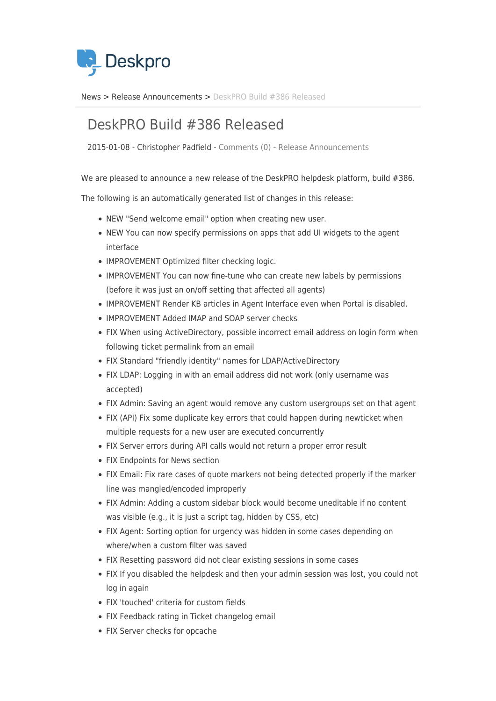

[News](https://support.deskpro.com/mk/news) > [Release Announcements](https://support.deskpro.com/mk/news/release-announcements) > [DeskPRO Build #386 Released](https://support.deskpro.com/mk/news/posts/deskpro-build-386-released)

## DeskPRO Build #386 Released

2015-01-08 - Christopher Padfield - [Comments \(0\)](#page--1-0) - [Release Announcements](https://support.deskpro.com/mk/news/release-announcements)

We are pleased to announce a new release of the DeskPRO helpdesk platform, build #386.

The following is an automatically generated list of changes in this release:

- NEW "Send welcome email" option when creating new user.
- NEW You can now specify permissions on apps that add UI widgets to the agent interface
- IMPROVEMENT Optimized filter checking logic.
- IMPROVEMENT You can now fine-tune who can create new labels by permissions (before it was just an on/off setting that affected all agents)
- IMPROVEMENT Render KB articles in Agent Interface even when Portal is disabled.
- IMPROVEMENT Added IMAP and SOAP server checks
- FIX When using ActiveDirectory, possible incorrect email address on login form when following ticket permalink from an email
- FIX Standard "friendly identity" names for LDAP/ActiveDirectory
- FIX LDAP: Logging in with an email address did not work (only username was accepted)
- FIX Admin: Saving an agent would remove any custom usergroups set on that agent
- FIX (API) Fix some duplicate key errors that could happen during newticket when multiple requests for a new user are executed concurrently
- FIX Server errors during API calls would not return a proper error result
- FIX Endpoints for News section
- FIX Email: Fix rare cases of quote markers not being detected properly if the marker line was mangled/encoded improperly
- FIX Admin: Adding a custom sidebar block would become uneditable if no content was visible (e.g., it is just a script tag, hidden by CSS, etc)
- FIX Agent: Sorting option for urgency was hidden in some cases depending on where/when a custom filter was saved
- FIX Resetting password did not clear existing sessions in some cases
- FIX If you disabled the helpdesk and then your admin session was lost, you could not log in again
- FIX 'touched' criteria for custom fields
- FIX Feedback rating in Ticket changelog email
- FIX Server checks for opcache